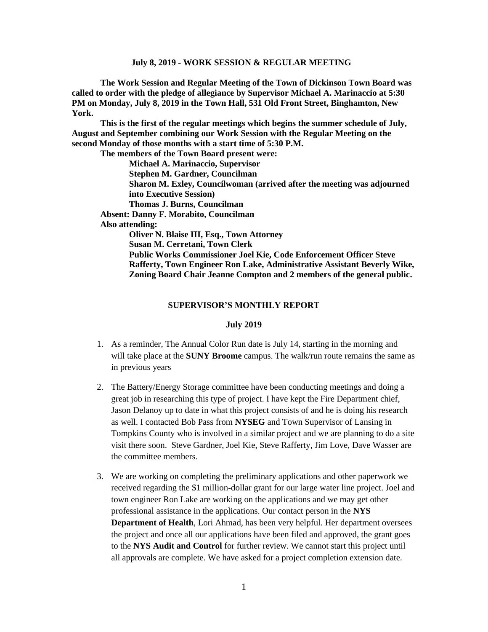**The Work Session and Regular Meeting of the Town of Dickinson Town Board was called to order with the pledge of allegiance by Supervisor Michael A. Marinaccio at 5:30 PM on Monday, July 8, 2019 in the Town Hall, 531 Old Front Street, Binghamton, New York.** 

**This is the first of the regular meetings which begins the summer schedule of July, August and September combining our Work Session with the Regular Meeting on the second Monday of those months with a start time of 5:30 P.M.**

**The members of the Town Board present were:**

**Michael A. Marinaccio, Supervisor Stephen M. Gardner, Councilman Sharon M. Exley, Councilwoman (arrived after the meeting was adjourned into Executive Session) Thomas J. Burns, Councilman Absent: Danny F. Morabito, Councilman Also attending: Oliver N. Blaise III, Esq., Town Attorney Susan M. Cerretani, Town Clerk Public Works Commissioner Joel Kie, Code Enforcement Officer Steve Rafferty, Town Engineer Ron Lake, Administrative Assistant Beverly Wike, Zoning Board Chair Jeanne Compton and 2 members of the general public.**

#### **SUPERVISOR'S MONTHLY REPORT**

#### **July 2019**

- 1. As a reminder, The Annual Color Run date is July 14, starting in the morning and will take place at the **SUNY Broome** campus. The walk/run route remains the same as in previous years
- 2. The Battery/Energy Storage committee have been conducting meetings and doing a great job in researching this type of project. I have kept the Fire Department chief, Jason Delanoy up to date in what this project consists of and he is doing his research as well. I contacted Bob Pass from **NYSEG** and Town Supervisor of Lansing in Tompkins County who is involved in a similar project and we are planning to do a site visit there soon. Steve Gardner, Joel Kie, Steve Rafferty, Jim Love, Dave Wasser are the committee members.
- 3. We are working on completing the preliminary applications and other paperwork we received regarding the \$1 million-dollar grant for our large water line project. Joel and town engineer Ron Lake are working on the applications and we may get other professional assistance in the applications. Our contact person in the **NYS Department of Health**, Lori Ahmad, has been very helpful. Her department oversees the project and once all our applications have been filed and approved, the grant goes to the **NYS Audit and Control** for further review. We cannot start this project until all approvals are complete. We have asked for a project completion extension date.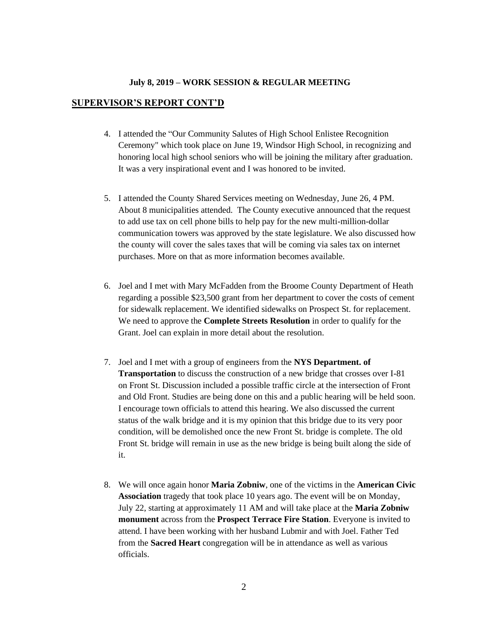### **SUPERVISOR'S REPORT CONT'D**

- 4. I attended the "Our Community Salutes of High School Enlistee Recognition Ceremony" which took place on June 19, Windsor High School, in recognizing and honoring local high school seniors who will be joining the military after graduation. It was a very inspirational event and I was honored to be invited.
- 5. I attended the County Shared Services meeting on Wednesday, June 26, 4 PM. About 8 municipalities attended. The County executive announced that the request to add use tax on cell phone bills to help pay for the new multi-million-dollar communication towers was approved by the state legislature. We also discussed how the county will cover the sales taxes that will be coming via sales tax on internet purchases. More on that as more information becomes available.
- 6. Joel and I met with Mary McFadden from the Broome County Department of Heath regarding a possible \$23,500 grant from her department to cover the costs of cement for sidewalk replacement. We identified sidewalks on Prospect St. for replacement. We need to approve the **Complete Streets Resolution** in order to qualify for the Grant. Joel can explain in more detail about the resolution.
- 7. Joel and I met with a group of engineers from the **NYS Department. of Transportation** to discuss the construction of a new bridge that crosses over I-81 on Front St. Discussion included a possible traffic circle at the intersection of Front and Old Front. Studies are being done on this and a public hearing will be held soon. I encourage town officials to attend this hearing. We also discussed the current status of the walk bridge and it is my opinion that this bridge due to its very poor condition, will be demolished once the new Front St. bridge is complete. The old Front St. bridge will remain in use as the new bridge is being built along the side of it.
- 8. We will once again honor **Maria Zobniw**, one of the victims in the **American Civic Association** tragedy that took place 10 years ago. The event will be on Monday, July 22, starting at approximately 11 AM and will take place at the **Maria Zobniw monument** across from the **Prospect Terrace Fire Station**. Everyone is invited to attend. I have been working with her husband Lubmir and with Joel. Father Ted from the **Sacred Heart** congregation will be in attendance as well as various officials.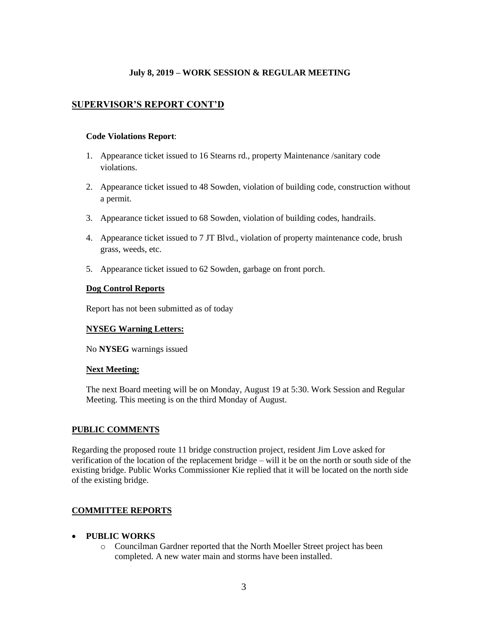# **SUPERVISOR'S REPORT CONT'D**

### **Code Violations Report**:

- 1. Appearance ticket issued to 16 Stearns rd., property Maintenance /sanitary code violations.
- 2. Appearance ticket issued to 48 Sowden, violation of building code, construction without a permit.
- 3. Appearance ticket issued to 68 Sowden, violation of building codes, handrails.
- 4. Appearance ticket issued to 7 JT Blvd., violation of property maintenance code, brush grass, weeds, etc.
- 5. Appearance ticket issued to 62 Sowden, garbage on front porch.

### **Dog Control Reports**

Report has not been submitted as of today

# **NYSEG Warning Letters:**

No **NYSEG** warnings issued

#### **Next Meeting:**

The next Board meeting will be on Monday, August 19 at 5:30. Work Session and Regular Meeting. This meeting is on the third Monday of August.

# **PUBLIC COMMENTS**

Regarding the proposed route 11 bridge construction project, resident Jim Love asked for verification of the location of the replacement bridge – will it be on the north or south side of the existing bridge. Public Works Commissioner Kie replied that it will be located on the north side of the existing bridge.

# **COMMITTEE REPORTS**

- **PUBLIC WORKS**
	- o Councilman Gardner reported that the North Moeller Street project has been completed. A new water main and storms have been installed.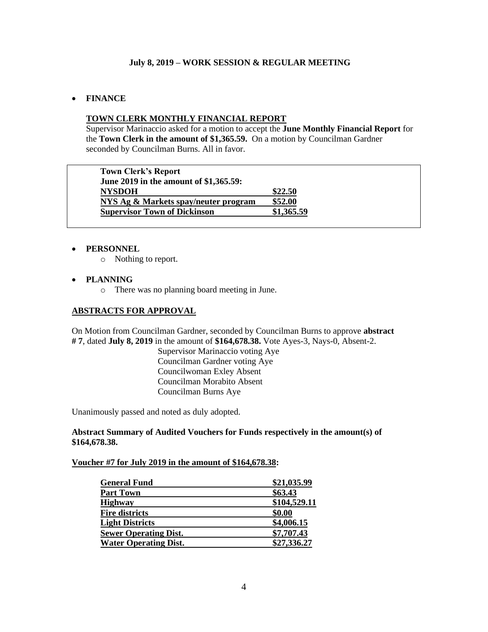# • **FINANCE**

# **TOWN CLERK MONTHLY FINANCIAL REPORT**

Supervisor Marinaccio asked for a motion to accept the **June Monthly Financial Report** for the **Town Clerk in the amount of \$1,365.59.** On a motion by Councilman Gardner seconded by Councilman Burns. All in favor.

| <b>Town Clerk's Report</b>             |            |
|----------------------------------------|------------|
| June 2019 in the amount of \$1,365.59: |            |
| <b>NYSDOH</b>                          | \$22.50    |
| NYS Ag & Markets spay/neuter program   | \$52.00    |
| <b>Supervisor Town of Dickinson</b>    | \$1,365.59 |
|                                        |            |

# • **PERSONNEL**

o Nothing to report.

### • **PLANNING**

o There was no planning board meeting in June.

### **ABSTRACTS FOR APPROVAL**

On Motion from Councilman Gardner, seconded by Councilman Burns to approve **abstract # 7**, dated **July 8, 2019** in the amount of **\$164,678.38.** Vote Ayes-3, Nays-0, Absent-2.

> Supervisor Marinaccio voting Aye Councilman Gardner voting Aye Councilwoman Exley Absent Councilman Morabito Absent Councilman Burns Aye

Unanimously passed and noted as duly adopted.

**Abstract Summary of Audited Vouchers for Funds respectively in the amount(s) of \$164,678.38.** 

### **Voucher #7 for July 2019 in the amount of \$164,678.38:**

| <b>General Fund</b>          | \$21,035.99  |
|------------------------------|--------------|
| <b>Part Town</b>             | \$63.43      |
| <b>Highway</b>               | \$104,529.11 |
| <b>Fire districts</b>        | \$0.00       |
| <b>Light Districts</b>       | \$4,006.15   |
| <b>Sewer Operating Dist.</b> | \$7,707.43   |
| <b>Water Operating Dist.</b> | \$27,336.27  |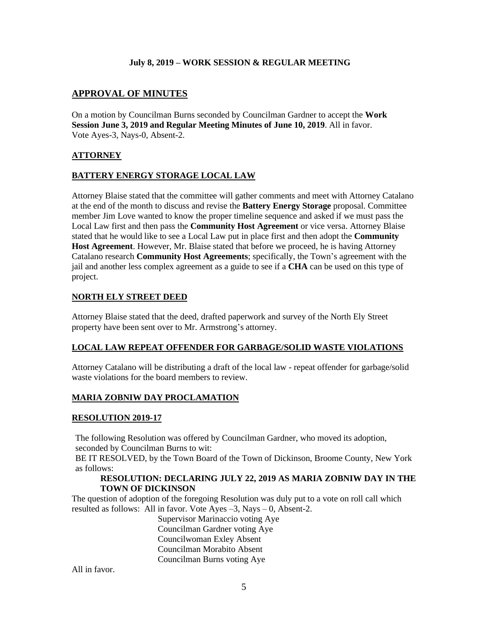# **APPROVAL OF MINUTES**

On a motion by Councilman Burns seconded by Councilman Gardner to accept the **Work Session June 3, 2019 and Regular Meeting Minutes of June 10, 2019**. All in favor. Vote Ayes-3, Nays-0, Absent-2.

# **ATTORNEY**

# **BATTERY ENERGY STORAGE LOCAL LAW**

Attorney Blaise stated that the committee will gather comments and meet with Attorney Catalano at the end of the month to discuss and revise the **Battery Energy Storage** proposal. Committee member Jim Love wanted to know the proper timeline sequence and asked if we must pass the Local Law first and then pass the **Community Host Agreement** or vice versa. Attorney Blaise stated that he would like to see a Local Law put in place first and then adopt the **Community Host Agreement**. However, Mr. Blaise stated that before we proceed, he is having Attorney Catalano research **Community Host Agreements**; specifically, the Town's agreement with the jail and another less complex agreement as a guide to see if a **CHA** can be used on this type of project.

### **NORTH ELY STREET DEED**

Attorney Blaise stated that the deed, drafted paperwork and survey of the North Ely Street property have been sent over to Mr. Armstrong's attorney.

#### **LOCAL LAW REPEAT OFFENDER FOR GARBAGE/SOLID WASTE VIOLATIONS**

Attorney Catalano will be distributing a draft of the local law - repeat offender for garbage/solid waste violations for the board members to review.

# **MARIA ZOBNIW DAY PROCLAMATION**

#### **RESOLUTION 2019-17**

The following Resolution was offered by Councilman Gardner, who moved its adoption, seconded by Councilman Burns to wit:

BE IT RESOLVED, by the Town Board of the Town of Dickinson, Broome County, New York as follows:

### **RESOLUTION: DECLARING JULY 22, 2019 AS MARIA ZOBNIW DAY IN THE TOWN OF DICKINSON**

The question of adoption of the foregoing Resolution was duly put to a vote on roll call which resulted as follows: All in favor. Vote Ayes –3, Nays – 0, Absent-2.

> Supervisor Marinaccio voting Aye Councilman Gardner voting Aye Councilwoman Exley Absent Councilman Morabito Absent Councilman Burns voting Aye

All in favor.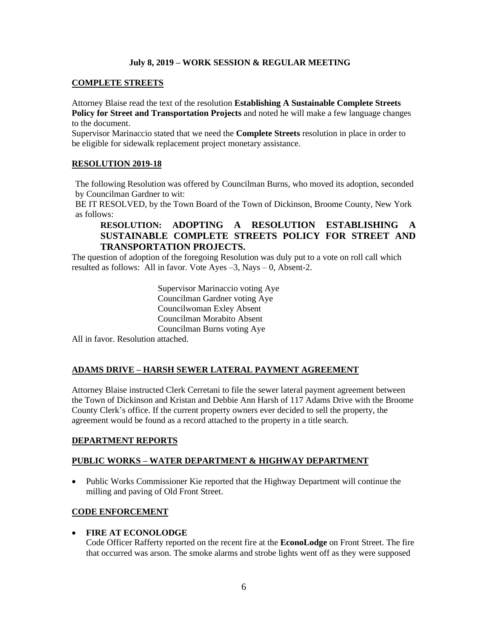### **COMPLETE STREETS**

Attorney Blaise read the text of the resolution **Establishing A Sustainable Complete Streets Policy for Street and Transportation Projects** and noted he will make a few language changes to the document.

Supervisor Marinaccio stated that we need the **Complete Streets** resolution in place in order to be eligible for sidewalk replacement project monetary assistance.

### **RESOLUTION 2019-18**

The following Resolution was offered by Councilman Burns, who moved its adoption, seconded by Councilman Gardner to wit:

BE IT RESOLVED, by the Town Board of the Town of Dickinson, Broome County, New York as follows:

# **RESOLUTION: ADOPTING A RESOLUTION ESTABLISHING A SUSTAINABLE COMPLETE STREETS POLICY FOR STREET AND TRANSPORTATION PROJECTS.**

The question of adoption of the foregoing Resolution was duly put to a vote on roll call which resulted as follows: All in favor. Vote Ayes –3, Nays – 0, Absent-2.

> Supervisor Marinaccio voting Aye Councilman Gardner voting Aye Councilwoman Exley Absent Councilman Morabito Absent Councilman Burns voting Aye

All in favor. Resolution attached.

# **ADAMS DRIVE – HARSH SEWER LATERAL PAYMENT AGREEMENT**

Attorney Blaise instructed Clerk Cerretani to file the sewer lateral payment agreement between the Town of Dickinson and Kristan and Debbie Ann Harsh of 117 Adams Drive with the Broome County Clerk's office. If the current property owners ever decided to sell the property, the agreement would be found as a record attached to the property in a title search.

#### **DEPARTMENT REPORTS**

#### **PUBLIC WORKS – WATER DEPARTMENT & HIGHWAY DEPARTMENT**

• Public Works Commissioner Kie reported that the Highway Department will continue the milling and paving of Old Front Street.

#### **CODE ENFORCEMENT**

#### • **FIRE AT ECONOLODGE**

Code Officer Rafferty reported on the recent fire at the **EconoLodge** on Front Street. The fire that occurred was arson. The smoke alarms and strobe lights went off as they were supposed